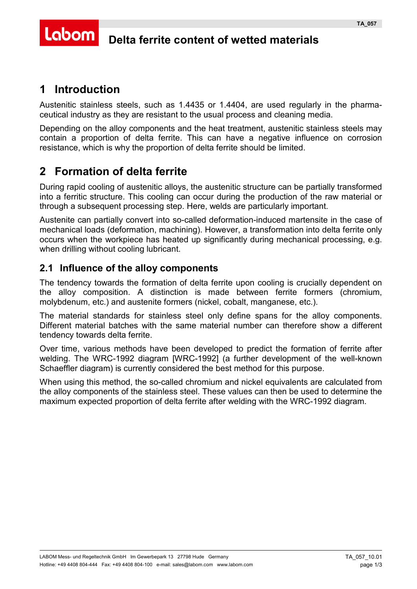#### Labom **Delta ferrite content of wetted materials**

# **1 Introduction**

Austenitic stainless steels, such as 1.4435 or 1.4404, are used regularly in the pharmaceutical industry as they are resistant to the usual process and cleaning media.

Depending on the alloy components and the heat treatment, austenitic stainless steels may contain a proportion of delta ferrite. This can have a negative influence on corrosion resistance, which is why the proportion of delta ferrite should be limited.

# **2 Formation of delta ferrite**

During rapid cooling of austenitic alloys, the austenitic structure can be partially transformed into a ferritic structure. This cooling can occur during the production of the raw material or through a subsequent processing step. Here, welds are particularly important.

Austenite can partially convert into so-called deformation-induced martensite in the case of mechanical loads (deformation, machining). However, a transformation into delta ferrite only occurs when the workpiece has heated up significantly during mechanical processing, e.g. when drilling without cooling lubricant.

### **2.1 Influence of the alloy components**

The tendency towards the formation of delta ferrite upon cooling is crucially dependent on the alloy composition. A distinction is made between ferrite formers (chromium, molybdenum, etc.) and austenite formers (nickel, cobalt, manganese, etc.).

The material standards for stainless steel only define spans for the alloy components. Different material batches with the same material number can therefore show a different tendency towards delta ferrite.

Over time, various methods have been developed to predict the formation of ferrite after welding. The WRC-1992 diagram [WRC-1992] (a further development of the well-known Schaeffler diagram) is currently considered the best method for this purpose.

When using this method, the so-called chromium and nickel equivalents are calculated from the alloy components of the stainless steel. These values can then be used to determine the maximum expected proportion of delta ferrite after welding with the WRC-1992 diagram.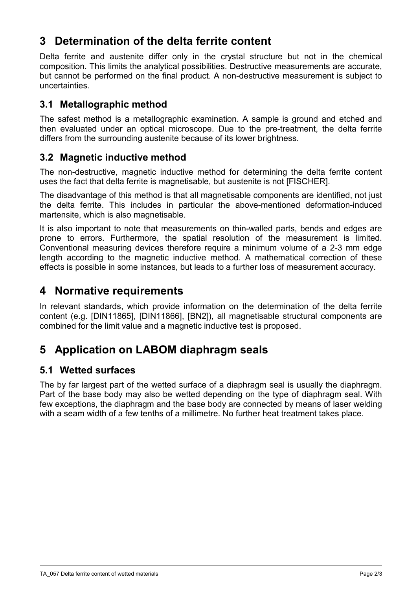## **3 Determination of the delta ferrite content**

Delta ferrite and austenite differ only in the crystal structure but not in the chemical composition. This limits the analytical possibilities. Destructive measurements are accurate, but cannot be performed on the final product. A non-destructive measurement is subject to uncertainties.

### **3.1 Metallographic method**

The safest method is a metallographic examination. A sample is ground and etched and then evaluated under an optical microscope. Due to the pre-treatment, the delta ferrite differs from the surrounding austenite because of its lower brightness.

### <span id="page-1-1"></span>**3.2 Magnetic inductive method**

The non-destructive, magnetic inductive method for determining the delta ferrite content uses the fact that delta ferrite is magnetisable, but austenite is not [FISCHER].

The disadvantage of this method is that all magnetisable components are identified, not just the delta ferrite. This includes in particular the above-mentioned deformation-induced martensite, which is also magnetisable.

It is also important to note that measurements on thin-walled parts, bends and edges are prone to errors. Furthermore, the spatial resolution of the measurement is limited. Conventional measuring devices therefore require a minimum volume of a 2-3 mm edge length according to the magnetic inductive method. A mathematical correction of these effects is possible in some instances, but leads to a further loss of measurement accuracy.

### **4 Normative requirements**

In relevant standards, which provide information on the determination of the delta ferrite content (e.g. [DIN11865], [DIN11866], [BN2]), all magnetisable structural components are combined for the limit value and a magnetic inductive test is proposed.

### **5 Application on LABOM diaphragm seals**

### **5.1 Wetted surfaces**

<span id="page-1-0"></span>The by far largest part of the wetted surface of a diaphragm seal is usually the diaphragm. Part of the base body may also be wetted depending on the type of diaphragm seal. With few exceptions, the diaphragm and the base body are connected by means of laser welding with a seam width of a few tenths of a millimetre. No further heat treatment takes place.